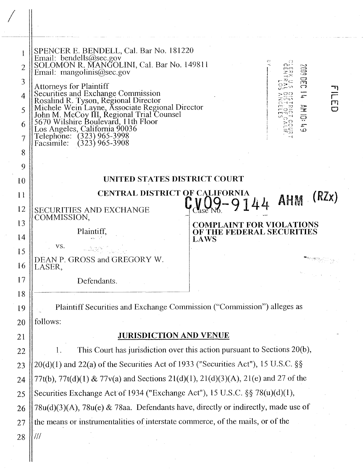| 1<br>$\overline{2}$<br>3<br>$\overline{4}$<br>5<br>6<br>7<br>8 | SPENCER E. BENDELL, Cal. Bar No. 181220<br>Email: bendells@sec.gov<br>SOLOMON R. MANGOLINI, Cal. Bar No. 149811<br>$\circ$ $^{\Omega}$<br>2009 0002<br>Email: mangolinis@sec.gov<br><b>Attorneys for Plaintiff</b><br>Securities and Exchange Commission<br>$\frac{1}{\Gamma}$<br>Securities and Exchange Commission<br>Rosalind R. Tyson, Regional Director<br>Michele Wein Layne, Associate Regional Director<br>John M. McCoy III, Regional Trial Counsel<br>5670 Wilshire Boulevard, 11th Floor<br>Los Angeles, Califo<br><b>AM 10:4A</b><br>ΔO |
|----------------------------------------------------------------|-----------------------------------------------------------------------------------------------------------------------------------------------------------------------------------------------------------------------------------------------------------------------------------------------------------------------------------------------------------------------------------------------------------------------------------------------------------------------------------------------------------------------------------------------------|
| 9                                                              |                                                                                                                                                                                                                                                                                                                                                                                                                                                                                                                                                     |
| 10                                                             | UNITED STATES DISTRICT COURT                                                                                                                                                                                                                                                                                                                                                                                                                                                                                                                        |
| 11                                                             | <b>CENTRAL DISTRICT OF CALIFORNIA</b><br>$2 - 9144$ AHM (RZx)                                                                                                                                                                                                                                                                                                                                                                                                                                                                                       |
| 12                                                             | <b>SECURITIES AND EXCHANGE</b><br>COMMISSION,                                                                                                                                                                                                                                                                                                                                                                                                                                                                                                       |
| 13                                                             | <b>COMPLAINT FOR VIOLATIONS</b><br>Plaintiff,<br>OF THE FEDERAL SECURITIES                                                                                                                                                                                                                                                                                                                                                                                                                                                                          |
| 14                                                             | <b>LAWS</b><br>VS.                                                                                                                                                                                                                                                                                                                                                                                                                                                                                                                                  |
| 15<br>16                                                       | DEAN P. GROSS and GREGORY W.<br>LASER                                                                                                                                                                                                                                                                                                                                                                                                                                                                                                               |
| 17                                                             | Defendants.                                                                                                                                                                                                                                                                                                                                                                                                                                                                                                                                         |
| 18                                                             |                                                                                                                                                                                                                                                                                                                                                                                                                                                                                                                                                     |
| 19                                                             | Plaintiff Securities and Exchange Commission ("Commission") alleges as                                                                                                                                                                                                                                                                                                                                                                                                                                                                              |
| 20                                                             | follows:                                                                                                                                                                                                                                                                                                                                                                                                                                                                                                                                            |
| 21                                                             | <b>JURISDICTION AND VENUE</b>                                                                                                                                                                                                                                                                                                                                                                                                                                                                                                                       |
| 22                                                             | This Court has jurisdiction over this action pursuant to Sections $20(b)$ ,<br>1.                                                                                                                                                                                                                                                                                                                                                                                                                                                                   |
| 23                                                             | $20(d)(1)$ and $22(a)$ of the Securities Act of 1933 ("Securities Act"), 15 U.S.C. §§                                                                                                                                                                                                                                                                                                                                                                                                                                                               |
| 24                                                             | 77t(b), 77t(d)(1) & 77v(a) and Sections 21(d)(1), 21(d)(3)(A), 21(e) and 27 of the                                                                                                                                                                                                                                                                                                                                                                                                                                                                  |
| 25                                                             | Securities Exchange Act of 1934 ("Exchange Act"), 15 U.S.C. §§ 78(u)(d)(1),                                                                                                                                                                                                                                                                                                                                                                                                                                                                         |
| 26                                                             | $78u(d)(3)(A)$ , $78u(e)$ & 78aa. Defendants have, directly or indirectly, made use of                                                                                                                                                                                                                                                                                                                                                                                                                                                              |
| 27                                                             | the means or instrumentalities of interstate commerce, of the mails, or of the                                                                                                                                                                                                                                                                                                                                                                                                                                                                      |
| 28                                                             |                                                                                                                                                                                                                                                                                                                                                                                                                                                                                                                                                     |
|                                                                |                                                                                                                                                                                                                                                                                                                                                                                                                                                                                                                                                     |
|                                                                |                                                                                                                                                                                                                                                                                                                                                                                                                                                                                                                                                     |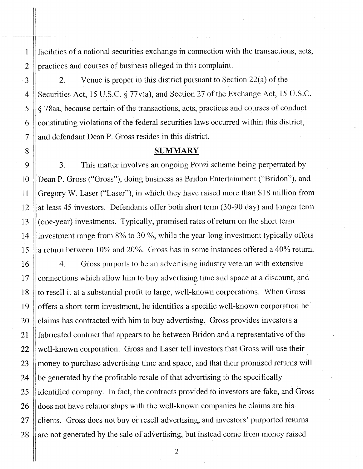facilities of a national securities exchange in connection with the transactions, acts, practices and courses of business alleged in this complaint.

1

2

3

4

5

6

7

8

9

10

11

12

13

14

15

2. Venue is proper in this district pursuant to Section 22(a) of the Securities Act, 15 U.S.C. § 77v(a), and Section 27 of the Exchange Act, 15 U.S.C. § 78aa, because certain of the transactions, acts, practices and courses of conduct constituting violations of the federal securities laws occurred within this district, and defendant Dean P. Gross resides in this district.

#### **SUMMARY**

3. This matter involves an ongoing Ponzi scheme being perpetrated by Dean P. Gross ("Gross"), doing business as Bridon Entertainment ("Bridon"), and Gregory W. Laser ("Laser"), in which they have raised more than \$18 million from at least 45 investors. Defendants offer both short term (30-90 day) and longer term (one-year) investments. Typically, promised rates of return on the short term investment range from 8% to 30 %, while the year-long investment typically offers a return between  $10\%$  and  $20\%$ . Gross has in some instances offered a 40% return.

16 17 18 19 20 21 22 23 24 25 26 27 28 4. Gross purports to be an advertising industry veteran with extensive connections which allow him to buy advertising time and space at a discount, and to resell it at a substantial profit to large, well-known corporations. When Gross offers a short-term investment, he identifies a specific well-known corporation he claims has contracted with him to buy advertising. Gross provides investors a fabricated contract that appears to be between Bridon and a representative of the well-known corporation. Gross and Laser tell investors that Gross will use their money to purchase advertising time and space, and that their promised returns will be generated by the profitable resale of that advertising to the specifically identified company. In fact, the contracts provided to investors are fake, and Gross does not have relationships with the well-known companies he claims are his clients. Gross does not buy or resell advertising, and investors' purported returns are not generated by the sale of advertising, but instead come from money raised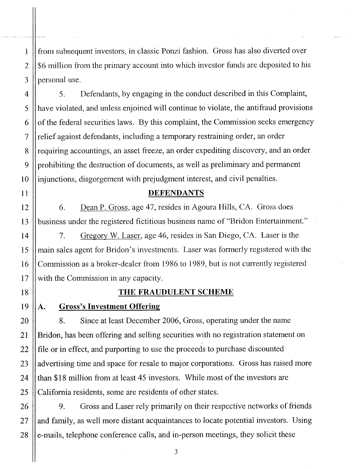from subsequent investors, in classic Ponzi fashion. Gross has also diverted over \$6 million from the primary account into which investor funds are deposited to his personal use.

5. Defendants, by engaging in the conduct described in this Complaint, have violated, and unless enjoined will continue to violate, the antifraud provisions of the federal securities laws. By this complaint, the Commission seeks emergency relief against defendants, including a temporary restraining order, an order requiring accountings, an asset freeze, an order expediting discovery, and an order prohibiting the destruction of documents, as well as preliminary and permanent injunctions, disgorgement with prejudgment interest, and civil penalties.

## DEFENDANTS

6. Dean P. Gross, age 47, resides in Agoura Hills, CA. Gross does business under the registered fictitious business name of "Bridon Entertainment."

7. Gregory W. Laser, age 46, resides in San Diego, CA. Laser is the main sales agent for Bridon's investments. Laser was formerly registered with the Commission as a broker-dealer from 1986 to 1989, but is not currently registered with the Commission in any capacity.

#### THE FRAUDULENT SCHEME

A. Gross's Investment Offering

1

2

3

4

5

6

7

8

9

10

11

12

13

14

15

16

17

18

19

20

21

22

23

24

25

26

27

28

8. Since at least December 2006, Gross, operating under the name Bridon, has been offering and selling securities with no registration statement on file or in effect, and purporting to use the proceeds to purchase discounted advertising time and space for resale to major corporations. Gross has raised more than \$18 million from at least 45 investors. While most of the investors are California residents, some are residents of other states.

9. Gross and Laser rely primarily on their respective networks of friends and family, as well more distant acquaintances to locate potential investors. Using e-mails, telephone conference calls, and in-person meetings, they solicit these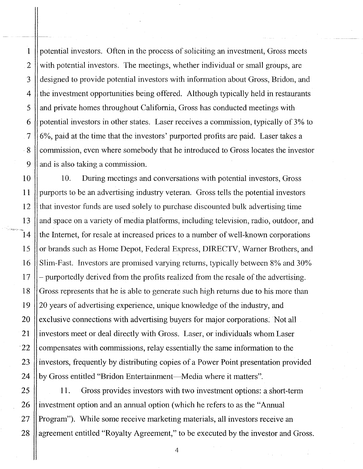5 1 2 3 4 6 7 . 8 9 potential investors. Often in the process of soliciting an investment, Gross meets with potential investors. The meetings, whether individual or small groups, are designed to provide potential investors with information about Gross, Bridon, and the investment opportunities being offered. Although typically held in restaurants and private homes throughout California, Gross has conducted meetings with potential investors in other states. Laser receives a commission, typically of 3% to 6%, paid at the time that the investors' purported profits are paid. Laser takes a commission, even where somebody that he introduced to Gross locates the investor and is also taking a commission.

10 15 20 11 12 13 14 16 17 18 19 21 ·22 23 24 10. During meetings and conversations with potential investors, Gross purports to be an advertising industry veteran. Gross tells the potential investors that investor funds are used solely to purchase discounted bulk advertising time and space on a variety of media platforms, including television, radio, outdoor, and the Internet, for resale at increased prices to a number of well-known corporations or brands such as Home Depot, Federal Express, DIRECTV, Warner Brothers, and Slim-Fast. Investors are promised varying returns, typically between 8% and 30% purportedly derived from the profits realized from the resale of the advertising. Gross represents that he is able to generate such high returns due to his more than 20 years of advertising experience, unique knowledge of the industry, and exclusive connections with advertising buyers for major corporations: Not all investors meet or deal directly with Gross. Laser, or individuals whom Laser compensates with commissions, relay essentially the same information to the investors, frequently by distributing copies of a Power Point presentation provided by Gross entitled "Bridon Entertainment—Media where it matters".

11. Gross provides investors with two investment options: a short-term investment option and an annual option (which he refers to as the "Annual Program"). While some receive marketing materials, all investors receive an agreement entitled "Royalty Agreement," to be executed by the investor and Gross.

25

26

27

28

 $-$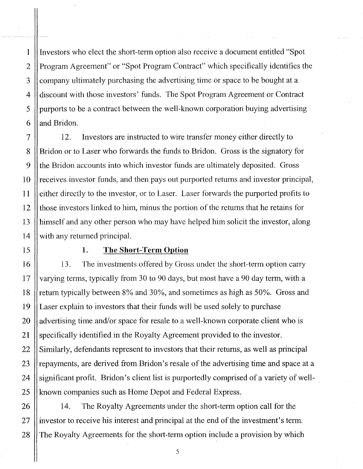Investors who elect the short-term option also receive a document entitled "Spot Program Agreement" or "Spot Program Contract" which specifically identifies the company ultimately purchasing the advertising time or space to be bought at a discount with those investors' funds. The Spot Program Agreement or Contract purports to be a contract between the well-known corporation buying advertising and Bridon.

7 8 9 10 12 13 14 12. Investors are instructed to wire transfer money either directly to Bridon or to Laser who forwards the funds to Bridon. Gross is the signatory for the Bridon accounts into which investor funds are ultimately deposited. Gross receives investor funds, and then pays out purported returns and investor principal, either directly to the investor, or to Laser. Laser forwards the purported profits to those investors linked to him, minus the portion of the returns that he retains for himself and any other person who may have helped him solicit the investor, along with any returned principal.

1

2

3

4

5

6

11

15

16

17

18

19

20

21

22

23

24

25

## **1. The Short-Term Option**

13. The investments offered by Gross under the short-term option carry varying terms, typically from 30 to 90 days, but most have a 90 day term, with a return typically between 8% and 30%, and sometimes as high as 50%. Gross and Laser explain to investors that their funds will be used solely to purchase advertising time and/or space for resale to a well-known corporate client who is specifically identified in the Royalty Agreement provided to the investor. Similarly, defendants represent to investors that their returns, as well as principal repayments, are derived from Bridon's resale of the advertising time and space at a significant profit. Bridon's client list is purportedly comprised of a variety of wellknown companies such as Home Depot and Federal Express.

26 27 28 14. The Royalty Agreements under the short-term option call for the investor to receive his interest and principal at the end of the investment's term. The Royalty Agreements for the short-term option include a provision by which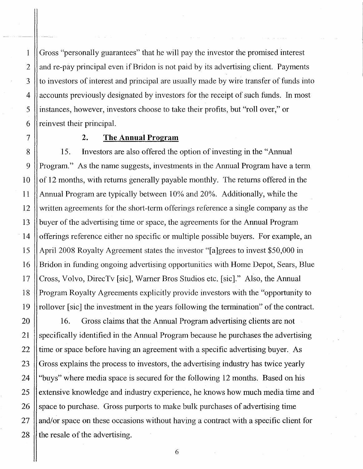Gross "personally guarantees" that he will pay the investor the promised interest and re-pay principal even if Bridon is not paid by its advertising client. Payments to investors of interest and principal are usually made by wire transfer of funds into accounts previously designated by investors for the receipt of such funds. In most instances, however, investors choose to take their profits, but "roll over," or reinvest their principal.

## 2. **The Annual Program**

15. Investors are also offered the option of investing in the "Annual Program." As the name suggests, investments in the Annual Program have a term of 12 months, with returns generally payable monthly. The returns offered in the Annual Program are typically between 10% and 20%. Additionally, while the written agreements for the short-term offerings reference a single company as the buyer of the advertising time or space, the agreements for the Annual Program offerings reference either no specific or multiple possible buyers. For example, an April 2008 Royalty Agreement states the investor "[a]grees to invest \$50,000 in Bridon in funding ongoing advertising opportunities with Home Depot, Sears, Blue Cross, Volvo, DirecTv [sic], Warner Bros Studios etc. [sic]." Also, the Annual Program Royalty Agreements explicitly provide investors with the "opportunity to rollover [sic] the investment in the years following the termination" of the contract.

16. Gross claims that the Annual Program advertising clients are not specifically identified in the Annual Program because he purchases the advertising time or space before having an agreement with a specific advertising buyer. As Gross explains the process to investors, the advertising industry has twice yearly "buys" where media space is secured for the following 12 months. Based on his extensive knowledge and industry experience, he knows how much media time and space to purchase. Gross purports to make bulk purchases of advertising time and/or space on these occasions without having a contract with a specific client for the resale of the advertising.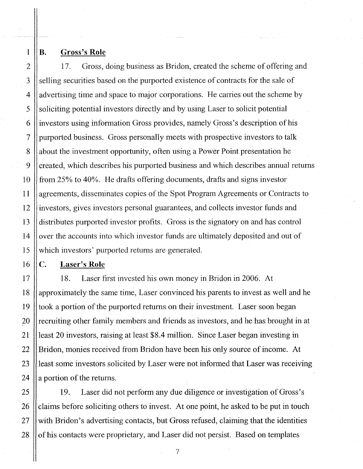1 2 3

4

5

6

7

8

9

10

11

12

13

14

15

16

17

18

19

20

21

22

23

24

25

26

27

28

#### B. Gross's **Role**

17. Gross, doing business as Bridon, created the scheme of offering and selling securities based on the purported existence of contracts for the sale of advertising time and space to major corporations. He carries out the scheme by soliciting potential investors directly and by using Laser to solicit potential investors using information Gross provides, namely Gross's description of his purported business. Gross personally meets with prospective investors to talk about the investment opportunity, often using a Power Point presentation he created, which describes his purported business and which describes annual returns from 25% to 40%. He drafts offering documents, drafts and signs investor agreements, disseminates copies of the Spot Program Agreements or Contracts to investors, gives investors personal guarantees, and collects investor funds and distributes purported investor profits. Gross is the signatory on and has control over the accounts into which investor funds are ultimately deposited and out of which investors' purported returns are generated.

## c. Laser's **Role**

18. Laser first invested his own money in Bridon in 2006. At approximately the same time, Laser convinced his parents to invest as well and he took a portion of the purported returns on their investment. Laser soon began recruiting other family members and friends as investors, and he has brought in at least 20 investors, raising at least \$8.4 million. Since Laser began investing in Bridon, monies received from Bridon have been his only source of income. At least some investors solicited by Laser were not informed that Laser was receiving a portion of the returns.

19. Laser did not perform any due diligence or investigation of Gross's claims before soliciting others to invest. At one point, he asked to be put in touch with Bridon's advertising contacts, but Gross refused, claiming that the identities of his contacts were proprietary, and Laser did not persist. Based on templates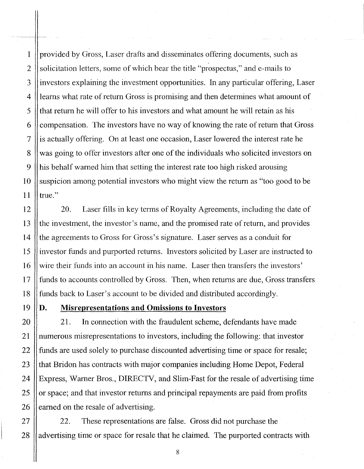1 2 3 4 5 6 7 8 9 10 11 provided by Gross, Laser drafts and disseminates offering documents, such as solicitation letters, some of which bear the title "prospectus," and e-mails to investors explaining the investment opportunities. In any particular offering, Laser learns what rate of return Gross is promising and then determines what amount of that return he will offer to his investors and what amount he will retain as his compensation. The investors have no way of knowing the rate of return that Gross is actually offering. On at least one occasion, Laser lowered the interest rate he was going to offer investors after one of the individuals who solicited investors on his behalf warned him that setting the interest rate too high risked arousing suspicion among potential investors who might view the return as "too good to be true."

12 13 14 15 16 17 18 20. Laser fills in key terms of Royalty Agreements, including the date of the investment, the investor's name, and the promised rate of return, and provides the agreements to Gross for Gross's signature. Laser serves as a conduit for investor funds and purported returns. Investors solicited by Laser are instructed to wire their funds into an account in his name. Laser then transfers the investors' funds to accounts controlled by Gross. Then, when returns are due, Gross transfers funds back to Laser's account to be divided and distributed accordingly.

19

20

21

22

23

24

25

26

## D. Misrepresentations and Omissions to Investors

21. In connection with the fraudulent scheme, defendants have made numerous misrepresentations to investors, including the following: that investor funds are used solely to purchase discounted advertising time or space for resale; that Bridon has contracts with major companies including Home Depot, Federal Express, Warner Bros., DIRECTV, and Slim-Fast for the resale of advertising time or space; and that investor returns and principal repayments are paid from profits earned on the resale of advertising.

27 28 22. These representations are false. Gross did not purchase the advertising time or space for resale that he claimed. The purported contracts with

> 8 j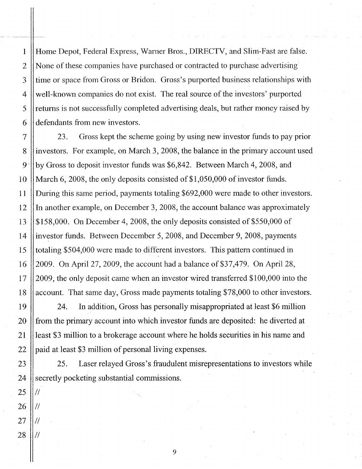Home Depot, Federal Express, Warner Bros., DIRECTV, and Slim-Fast are false. None of these companies have purchased or contracted to purchase advertising· time or space from Gross or Bridon. Gross's purported business relationships with well-known companies do not exist. The real source of the investors' purported returns is not successfully completed advertising deals, but rather money raised by defendants from new investors.

7 8 9 10 11 12 13 14 15 16 17 18 23. Gross kept the scheme going by using new investor funds to pay prior investors. For example, on March 3,2008, the balance in the primary account used by Gross to deposit investor funds was \$6,842. Between March 4, 2008, and March 6, 2008, the only deposits consisted of  $$1,050,000$  of investor funds. During this same period, payments totaling \$692,000 were made to other investors. In another example, on December 3, 2008, the account balance was approximately \$158,000. On December 4,2008, the only deposits consisted of \$550,000 of investor funds. Between December 5, 2008, and December 9,2008, payments totaling \$504,000 were made to different investors. This pattern continued in 2009. On April 27, 2009, the account had a balance of  $$37,479$ . On April 28, 2009, the only deposit came when an investor wired transferred \$100,000 into the account. That same day, Gross made payments totaling \$78,000 to other investors.

24. In addition, Gross has personally misappropriated at least \$6 million from the primary account into which investor funds are deposited: he diverted at least \$3 million to a brokerage account where he holds securities in his name and paid at least \$3 million of personal living expenses.

25. Laser relayed Gross's fraudulent misrepresentations to investors while secretly pocketing substantial commissions.

28  $\mathcal{U}^{\parallel}$ 

II

 $\mathcal{U}^{\parallel}$ 

II

19

20

21

22

23

24

25

*26*

*27*

1

2

3

4

5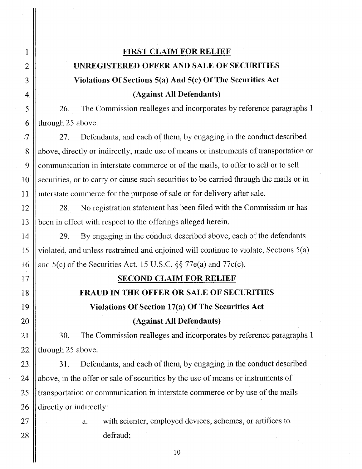## FIRST CLAIM FOR RELIEF UNREGISTERED OFFER AND SALE OF SECURITIES Violations Of Sections  $5(a)$  And  $5(c)$  Of The Securities Act (Against All Defendants)

26. The Commission realleges and incorporates by reference paragraphs 1 through 25 above.

27. Defendants, and each of them, by engaging in the conduct described above, directly or indirectly, made use of means or instruments of transportation or communication in interstate commerce or of the mails, to offer to sell or to sell securities, or to carry or cause such securities to be carried through the mails or in interstate commerce for the purpose of sale or for delivery after sale.

28. No registration statement has been filed with the Commission or has been in effect with respect to the offerings alleged herein.

29. By engaging in the conduct described above, each of the defendants violated, and unless restrained and enjoined will continue to violate, Sections 5(a) and 5(c) of the Securities Act, 15 U.S.C. §§ 77e(a) and 77e(c).

## SECOND CLAIM FOR RELIEF

## FRAUD IN THE OFFER OR SALE OF SECURITIES

Violations Of Section 17(a) Of The Securities Act

(Against All Defendants)

30. The Commission realleges and incorporates by reference paragraphs 1 through 25 above.

31. Defendants, and each of them, by engaging in the conduct described above, in the offer or sale of securities by the use of means or instruments of transportation or communication in interstate commerce or by use of the mails directly or indirectly:

a. with scienter, employed devices, schemes, or artifices to defraud;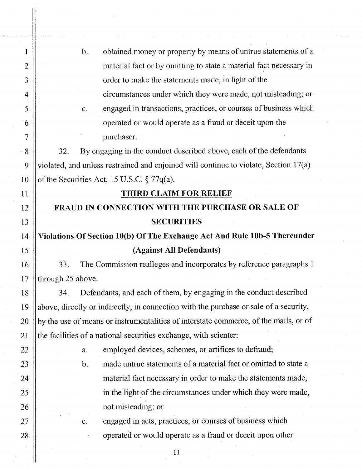| $\mathbf 1$<br>$\overline{2}$<br>3<br>4<br>5<br>6<br>$\overline{7}$<br>8<br>9<br>10 | obtained money or property by means of untrue statements of a<br>$\mathbf{b}$ .<br>material fact or by omitting to state a material fact necessary in<br>order to make the statements made, in light of the<br>circumstances under which they were made, not misleading; or<br>engaged in transactions, practices, or courses of business which<br>$C_{\star}$<br>operated or would operate as a fraud or deceit upon the<br>purchaser.<br>By engaging in the conduct described above, each of the defendants<br>32.<br>violated, and unless restrained and enjoined will continue to violate, Section 17(a)<br>of the Securities Act, 15 U.S.C. $\S 77q(a)$ . |
|-------------------------------------------------------------------------------------|----------------------------------------------------------------------------------------------------------------------------------------------------------------------------------------------------------------------------------------------------------------------------------------------------------------------------------------------------------------------------------------------------------------------------------------------------------------------------------------------------------------------------------------------------------------------------------------------------------------------------------------------------------------|
| 11                                                                                  | <b>THIRD CLAIM FOR RELIEF</b>                                                                                                                                                                                                                                                                                                                                                                                                                                                                                                                                                                                                                                  |
| 12                                                                                  | FRAUD IN CONNECTION WITH THE PURCHASE OR SALE OF                                                                                                                                                                                                                                                                                                                                                                                                                                                                                                                                                                                                               |
| 13                                                                                  | <b>SECURITIES</b>                                                                                                                                                                                                                                                                                                                                                                                                                                                                                                                                                                                                                                              |
| 14                                                                                  | Violations Of Section 10(b) Of The Exchange Act And Rule 10b-5 Thereunder                                                                                                                                                                                                                                                                                                                                                                                                                                                                                                                                                                                      |
| 15                                                                                  | (Against All Defendants)                                                                                                                                                                                                                                                                                                                                                                                                                                                                                                                                                                                                                                       |
| 16                                                                                  | The Commission realleges and incorporates by reference paragraphs 1<br>33.                                                                                                                                                                                                                                                                                                                                                                                                                                                                                                                                                                                     |
| 17                                                                                  | through 25 above.                                                                                                                                                                                                                                                                                                                                                                                                                                                                                                                                                                                                                                              |
| 18                                                                                  | Defendants, and each of them, by engaging in the conduct described<br>34.                                                                                                                                                                                                                                                                                                                                                                                                                                                                                                                                                                                      |
| 19                                                                                  | above, directly or indirectly, in connection with the purchase or sale of a security,                                                                                                                                                                                                                                                                                                                                                                                                                                                                                                                                                                          |
| 20                                                                                  | by the use of means or instrumentalities of interstate commerce, of the mails, or of                                                                                                                                                                                                                                                                                                                                                                                                                                                                                                                                                                           |
| 21                                                                                  | the facilities of a national securities exchange, with scienter:                                                                                                                                                                                                                                                                                                                                                                                                                                                                                                                                                                                               |
| 22                                                                                  | employed devices, schemes, or artifices to defraud;<br>a.                                                                                                                                                                                                                                                                                                                                                                                                                                                                                                                                                                                                      |
| 23                                                                                  | made untrue statements of a material fact or omitted to state a<br>$\mathbf b$ .                                                                                                                                                                                                                                                                                                                                                                                                                                                                                                                                                                               |
| 24                                                                                  | material fact necessary in order to make the statements made,                                                                                                                                                                                                                                                                                                                                                                                                                                                                                                                                                                                                  |
| 25                                                                                  | in the light of the circumstances under which they were made,                                                                                                                                                                                                                                                                                                                                                                                                                                                                                                                                                                                                  |
| 26                                                                                  | not misleading; or                                                                                                                                                                                                                                                                                                                                                                                                                                                                                                                                                                                                                                             |
| 27                                                                                  | engaged in acts, practices, or courses of business which<br>$C_{\star}$                                                                                                                                                                                                                                                                                                                                                                                                                                                                                                                                                                                        |
| 28                                                                                  | operated or would operate as a fraud or deceit upon other                                                                                                                                                                                                                                                                                                                                                                                                                                                                                                                                                                                                      |
|                                                                                     | 11                                                                                                                                                                                                                                                                                                                                                                                                                                                                                                                                                                                                                                                             |
|                                                                                     |                                                                                                                                                                                                                                                                                                                                                                                                                                                                                                                                                                                                                                                                |

 $\frac{1}{2}$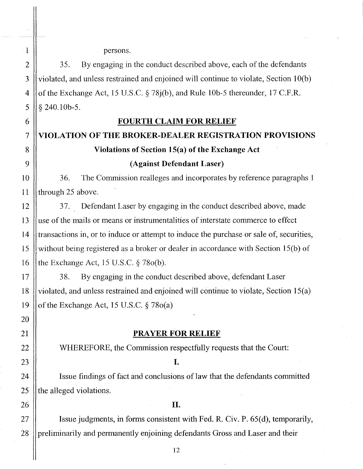persons.

 $\mathbf{1}$ 

 $\overline{2}$ 

3

4

5

6

7

8

9

10

11

12

13

14

15

16

17

18

19

20

21

22

23

24

25

26

27

28

35. By engaging in the conduct described above, each of the defendants violated, and unless restrained and enjoined will continue to violate, Section  $10(b)$ of the Exchange Act, 15 U.S.C.  $\S$  78 $j(b)$ , and Rule 10b-5 thereunder, 17 C.F.R. § 240.10b-5.

#### **FOURTH CLAIM FOR RELIEF**

# VIOLATION OF THE BROKER-DEALER REGISTRATION PROVISIONS Violations of Section 15(a) of the Exchange Act

## (Against Defendant Laser)

36. The Commission realleges and incorporates by reference paragraphs 1 through 25 above.

Defendant Laser by engaging in the conduct described above, made 37. use of the mails or means or instrumentalities of interstate commerce to effect transactions in, or to induce or attempt to induce the purchase or sale of, securities, without being registered as a broker or dealer in accordance with Section 15(b) of the Exchange Act, 15 U.S.C.  $\S$  78 $o(b)$ .

38. By engaging in the conduct described above, defendant Laser violated, and unless restrained and enjoined will continue to violate, Section 15(a) of the Exchange Act, 15 U.S.C.  $\S 78o(a)$ 

#### **PRAYER FOR RELIEF**

WHEREFORE, the Commission respectfully requests that the Court:

I.

Issue findings of fact and conclusions of law that the defendants committed the alleged violations.

#### II.

Issue judgments, in forms consistent with Fed. R. Civ. P. 65(d), temporarily, preliminarily and permanently enjoining defendants Gross and Laser and their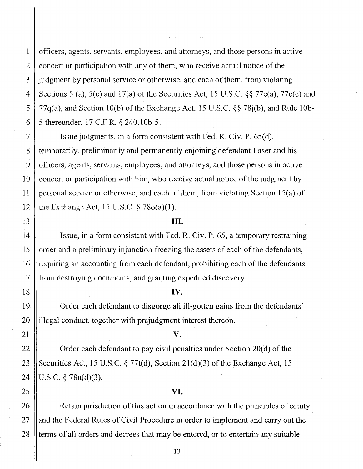officers, agents, servants, employees, and attorneys, and those persons in active concert or participation with any of them, who receive actual notice of the judgment by personal service or otherwise, and each of them, from violating Sections 5 (a), 5(c) and 17(a) of the Securities Act, 15 U.S.C. §§ 77e(a), 77e(c) and 77q(a), and Section 10(b) of the Exchange Act, 15 U.S.c. §§ 78j(b), and Rule 10b-5 thereunder, 17 C.F.R. § 240.10b-5.

1

2

3

4

5

6

7

8

9

10

**11**

12

13

14

15

16

17

18

19

20

21

22

23

24

25

26

27

28

Issue judgments, in a form consistent with Fed. R. Civ. P. 65(d), temporarily, preliminarily and permanently enjoining defendant Laser and his officers, agents, servants, employees, and attorneys, and those persons in active concert or participation with him, who receive actual notice of the judgment by personal service or otherwise, and each of them, from violating Section  $15(a)$  of the Exchange Act, 15 U.S.C.  $\S 78o(a)(1)$ .

#### **III.**

Issue, in a form consistent with Fed. R. Civ. P. 65, a temporary restraining order and a preliminary injunction freezing the assets of each of the defendants, requiring an accounting from each defendant, prohibiting each of the defendants from destroying documents, and granting expedited discovery.

#### **IV.**

Order each defendant to disgorge all ill-gotten gains from the defendants' illegal conduct, together with prejudgment interest thereon.

#### **V.**

Order each defendant to pay civil penalties under Section 20(d) of the Securities Act, 15 U.S.C. § 77t(d), Section 21(d)(3) of the Exchange Act, 15 U.S.C. § 78u(d)(3).

#### **VI.**

Retain jurisdiction of this action in accordance with the principles of equity and the Federal Rules of Civil Procedure in order to implement and carry out the terms of all orders and decrees that may be entered, or to entertain any suitable